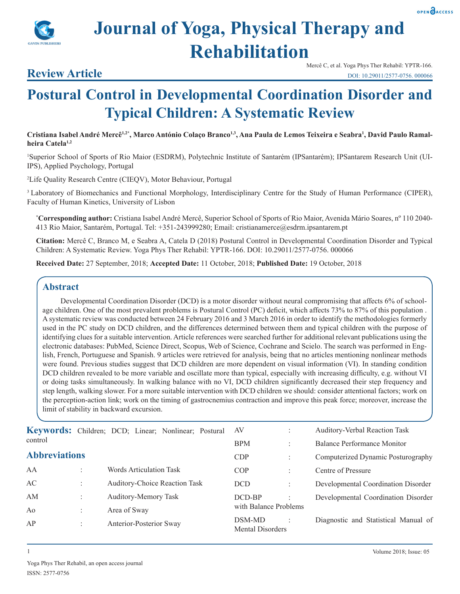



# **Journal of Yoga, Physical Therapy and Rehabilitation**

### **Review Article**

Mercê C, et al. Yoga Phys Ther Rehabil: YPTR-166. DOI: 10.29011/2577-0756. 000066

## **Postural Control in Developmental Coordination Disorder and Typical Children: A Systematic Review**

Cristiana Isabel André Mercê<sup>1,2</sup>\*, Marco António Colaço Branco<sup>1,3</sup>, Ana Paula de Lemos Teixeira e Seabra<sup>1</sup>, David Paulo Ramal**heira Catela1,2**

1 Superior School of Sports of Rio Maior (ESDRM), Polytechnic Institute of Santarém (IPSantarém); IPSantarem Research Unit (UI-IPS), Applied Psychology, Portugal

2 Life Quality Research Centre (CIEQV), Motor Behaviour, Portugal

3 Laboratory of Biomechanics and Functional Morphology, Interdisciplinary Centre for the Study of Human Performance (CIPER), Faculty of Human Kinetics, University of Lisbon

**\* Corresponding author:** Cristiana Isabel André Mercê, Superior School of Sports of Rio Maior, Avenida Mário Soares, nº 110 2040- 413 Rio Maior, Santarém, Portugal. Tel: +351-243999280; Email: cristianamerce@esdrm.ipsantarem.pt

**Citation:** Mercê C, Branco M, e Seabra A, Catela D (2018) Postural Control in Developmental Coordination Disorder and Typical Children: A Systematic Review. Yoga Phys Ther Rehabil: YPTR-166. DOI: 10.29011/2577-0756. 000066

**Received Date:** 27 September, 2018; **Accepted Date:** 11 October, 2018; **Published Date:** 19 October, 2018

#### **Abstract**

Developmental Coordination Disorder (DCD) is a motor disorder without neural compromising that affects 6% of schoolage children. One of the most prevalent problems is Postural Control (PC) deficit, which affects 73% to 87% of this population . A systematic review was conducted between 24 February 2016 and 3 March 2016 in order to identify the methodologies formerly used in the PC study on DCD children, and the differences determined between them and typical children with the purpose of identifying clues for a suitable intervention. Article references were searched further for additional relevant publications using the electronic databases: PubMed, Science Direct, Scopus, Web of Science, Cochrane and Scielo. The search was performed in English, French, Portuguese and Spanish. 9 articles were retrieved for analysis, being that no articles mentioning nonlinear methods were found. Previous studies suggest that DCD children are more dependent on visual information (VI). In standing condition DCD children revealed to be more variable and oscillate more than typical, especially with increasing difficulty, e.g. without VI or doing tasks simultaneously. In walking balance with no VI, DCD children significantly decreased their step frequency and step length, walking slower. For a more suitable intervention with DCD children we should: consider attentional factors; work on the perception-action link; work on the timing of gastrocnemius contraction and improve this peak force; moreover, increase the limit of stability in backward excursion.

| control              |                               | Keywords: Children; DCD; Linear; Nonlinear; Postural | AV                                |                      | Auditory-Verbal Reaction Task        |
|----------------------|-------------------------------|------------------------------------------------------|-----------------------------------|----------------------|--------------------------------------|
|                      |                               |                                                      | <b>BPM</b>                        | ٠                    | Balance Performance Monitor          |
| <b>Abbreviations</b> |                               |                                                      | CDP                               | $\ddot{\phantom{a}}$ | Computerized Dynamic Posturography   |
| AA                   | Words Articulation Task       |                                                      | COP                               | ÷                    | Centre of Pressure                   |
| AC                   | Auditory-Choice Reaction Task |                                                      | <b>DCD</b>                        |                      | Developmental Coordination Disorder  |
| AM                   | Auditory-Memory Task          |                                                      | DCD-BP                            |                      | Developmental Coordination Disorder  |
| Ao                   | Area of Sway                  |                                                      | with Balance Problems             |                      |                                      |
| AP                   | Anterior-Posterior Sway       |                                                      | DSM-MD<br><b>Mental Disorders</b> |                      | Diagnostic and Statistical Manual of |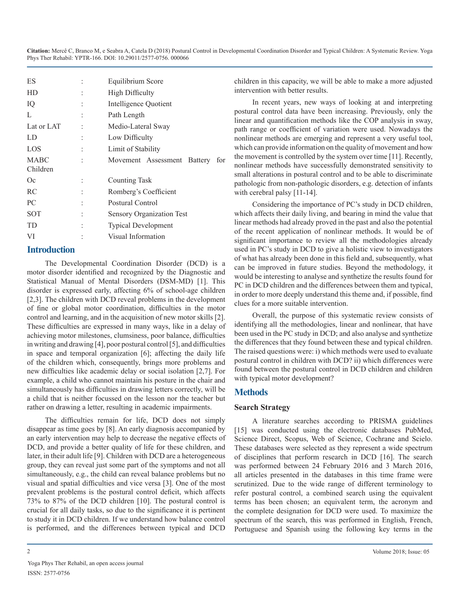| ES                      | Equilibrium Score                  |  |  |
|-------------------------|------------------------------------|--|--|
| <b>HD</b>               | <b>High Difficulty</b>             |  |  |
| IQ                      | Intelligence Quotient              |  |  |
| L                       | Path Length                        |  |  |
| Lat or LAT              | Medio-Lateral Sway                 |  |  |
| LD                      | Low Difficulty                     |  |  |
| LOS                     | Limit of Stability                 |  |  |
| <b>MABC</b><br>Children | Movement Assessment Battery<br>for |  |  |
| <b>Oc</b>               | Counting Task                      |  |  |
| <b>RC</b>               | Romberg's Coefficient              |  |  |
| PC.                     | Postural Control                   |  |  |
| SOT                     | <b>Sensory Organization Test</b>   |  |  |
| TD                      | <b>Typical Development</b>         |  |  |
| VI                      | Visual Information                 |  |  |
|                         |                                    |  |  |

#### **Introduction**

The Developmental Coordination Disorder (DCD) is a motor disorder identified and recognized by the Diagnostic and Statistical Manual of Mental Disorders (DSM-MD) [1]. This disorder is expressed early, affecting 6% of school-age children [2,3]. The children with DCD reveal problems in the development of fine or global motor coordination, difficulties in the motor control and learning, and in the acquisition of new motor skills [2]. These difficulties are expressed in many ways, like in a delay of achieving motor milestones, clumsiness, poor balance, difficulties in writing and drawing [4], poor postural control [5], and difficulties in space and temporal organization [6]; affecting the daily life of the children which, consequently, brings more problems and new difficulties like academic delay or social isolation [2,7]. For example, a child who cannot maintain his posture in the chair and simultaneously has difficulties in drawing letters correctly, will be a child that is neither focussed on the lesson nor the teacher but rather on drawing a letter, resulting in academic impairments.

The difficulties remain for life, DCD does not simply disappear as time goes by [8]. An early diagnosis accompanied by an early intervention may help to decrease the negative effects of DCD, and provide a better quality of life for these children, and later, in their adult life [9]. Children with DCD are a heterogeneous group, they can reveal just some part of the symptoms and not all simultaneously, e.g., the child can reveal balance problems but no visual and spatial difficulties and vice versa [3]. One of the most prevalent problems is the postural control deficit, which affects 73% to 87% of the DCD children [10]. The postural control is crucial for all daily tasks, so due to the significance it is pertinent to study it in DCD children. If we understand how balance control is performed, and the differences between typical and DCD

children in this capacity, we will be able to make a more adjusted intervention with better results.

In recent years, new ways of looking at and interpreting postural control data have been increasing. Previously, only the linear and quantification methods like the COP analysis in sway, path range or coefficient of variation were used. Nowadays the nonlinear methods are emerging and represent a very useful tool, which can provide information on the quality of movement and how the movement is controlled by the system over time [11]. Recently, nonlinear methods have successfully demonstrated sensitivity to small alterations in postural control and to be able to discriminate pathologic from non-pathologic disorders, e.g. detection of infants with cerebral palsy [11-14].

Considering the importance of PC's study in DCD children, which affects their daily living, and bearing in mind the value that linear methods had already proved in the past and also the potential of the recent application of nonlinear methods. It would be of significant importance to review all the methodologies already used in PC's study in DCD to give a holistic view to investigators of what has already been done in this field and, subsequently, what can be improved in future studies. Beyond the methodology, it would be interesting to analyse and synthetize the results found for PC in DCD children and the differences between them and typical, in order to more deeply understand this theme and, if possible, find clues for a more suitable intervention.

Overall, the purpose of this systematic review consists of identifying all the methodologies, linear and nonlinear, that have been used in the PC study in DCD; and also analyse and synthetize the differences that they found between these and typical children. The raised questions were: i) which methods were used to evaluate postural control in children with DCD? ii) which differences were found between the postural control in DCD children and children with typical motor development?

#### **Methods**

#### **Search Strategy**

A literature searches according to PRISMA guidelines [15] was conducted using the electronic databases PubMed, Science Direct, Scopus, Web of Science, Cochrane and Scielo. These databases were selected as they represent a wide spectrum of disciplines that perform research in DCD [16]. The search was performed between 24 February 2016 and 3 March 2016, all articles presented in the databases in this time frame were scrutinized. Due to the wide range of different terminology to refer postural control, a combined search using the equivalent terms has been chosen; an equivalent term, the acronym and the complete designation for DCD were used. To maximize the spectrum of the search, this was performed in English, French, Portuguese and Spanish using the following key terms in the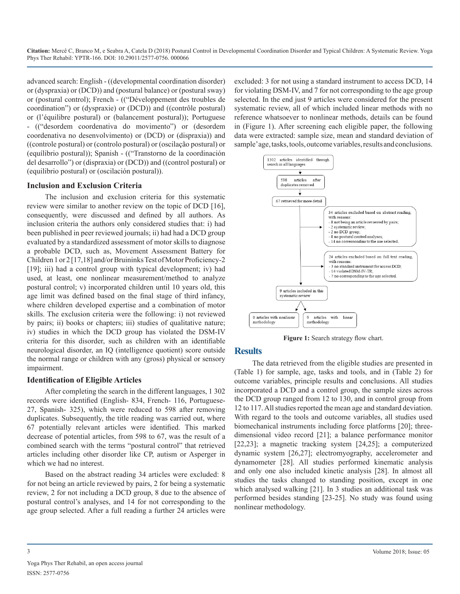advanced search: English - ((developmental coordination disorder) or (dyspraxia) or (DCD)) and (postural balance) or (postural sway) or (postural control); French - (("Développement des troubles de coordination") or (dyspraxie) or (DCD)) and ((contrôle postural) or (l'équilibre postural) or (balancement postural)); Portuguese - (("desordem coordenativa do movimento") or (desordem coordenativa no desenvolvimento) or (DCD) or (dispraxia)) and ((controle postural) or (controlo postural) or (oscilação postural) or (equílibrio postural)); Spanish - (("Transtorno de la coordinación del desarrollo") or (dispraxia) or (DCD)) and ((control postural) or (equilibrio postural) or (oscilación postural)).

#### **Inclusion and Exclusion Criteria**

The inclusion and exclusion criteria for this systematic review were similar to another review on the topic of DCD [16], consequently, were discussed and defined by all authors. As inclusion criteria the authors only considered studies that: i) had been published in peer reviewed journals; ii) had had a DCD group evaluated by a standardized assessment of motor skills to diagnose a probable DCD, such as, Movement Assessment Battery for Children 1 or 2 [17,18] and/or Bruininks Test of Motor Proficiency-2 [19]; iii) had a control group with typical development; iv) had used, at least, one nonlinear measurement/method to analyze postural control; v) incorporated children until 10 years old, this age limit was defined based on the final stage of third infancy, where children developed expertise and a combination of motor skills. The exclusion criteria were the following: i) not reviewed by pairs; ii) books or chapters; iii) studies of qualitative nature; iv) studies in which the DCD group has violated the DSM-IV criteria for this disorder, such as children with an identifiable neurological disorder, an IQ (intelligence quotient) score outside the normal range or children with any (gross) physical or sensory impairment.

#### **Identification of Eligible Articles**

After completing the search in the different languages, 1 302 records were identified (English- 834, French- 116, Portuguese-27, Spanish- 325), which were reduced to 598 after removing duplicates. Subsequently, the title reading was carried out, where 67 potentially relevant articles were identified. This marked decrease of potential articles, from 598 to 67, was the result of a combined search with the terms "postural control" that retrieved articles including other disorder like CP, autism or Asperger in which we had no interest.

Based on the abstract reading 34 articles were excluded: 8 for not being an article reviewed by pairs, 2 for being a systematic review, 2 for not including a DCD group, 8 due to the absence of postural control's analyses, and 14 for not corresponding to the age group selected. After a full reading a further 24 articles were

excluded: 3 for not using a standard instrument to access DCD, 14 for violating DSM-IV, and 7 for not corresponding to the age group selected. In the end just 9 articles were considered for the present systematic review, all of which included linear methods with no reference whatsoever to nonlinear methods, details can be found in (Figure 1). After screening each eligible paper, the following data were extracted: sample size, mean and standard deviation of sample' age, tasks, tools, outcome variables, results and conclusions.



Figure 1: Search strategy flow chart.

#### **Results**

The data retrieved from the eligible studies are presented in (Table 1) for sample, age, tasks and tools, and in (Table 2) for outcome variables, principle results and conclusions. All studies incorporated a DCD and a control group, the sample sizes across the DCD group ranged from 12 to 130, and in control group from 12 to 117. All studies reported the mean age and standard deviation. With regard to the tools and outcome variables, all studies used biomechanical instruments including force platforms [20]; threedimensional video record [21]; a balance performance monitor [22,23]; a magnetic tracking system [24,25]; a computerized dynamic system [26,27]; electromyography, accelerometer and dynamometer [28]. All studies performed kinematic analysis and only one also included kinetic analysis [28]. In almost all studies the tasks changed to standing position, except in one which analysed walking [21]. In 3 studies an additional task was performed besides standing [23-25]. No study was found using nonlinear methodology.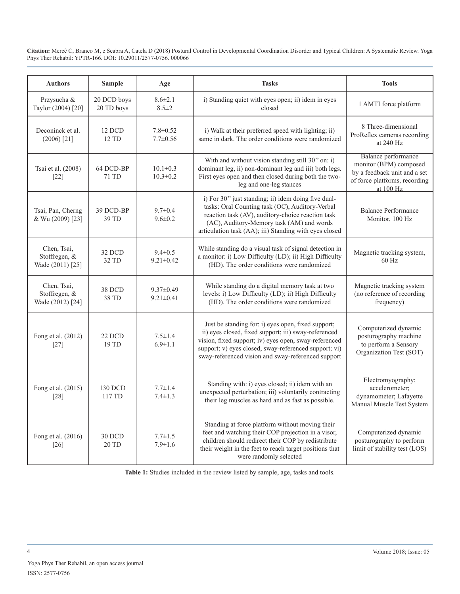| <b>Authors</b>                                   | <b>Sample</b>             | Age                                | <b>Tasks</b>                                                                                                                                                                                                                                                                       | <b>Tools</b>                                                                                                                |
|--------------------------------------------------|---------------------------|------------------------------------|------------------------------------------------------------------------------------------------------------------------------------------------------------------------------------------------------------------------------------------------------------------------------------|-----------------------------------------------------------------------------------------------------------------------------|
| Przysucha &<br>Taylor (2004) [20]                | 20 DCD boys<br>20 TD boys | $8.6 \pm 2.1$<br>$8.5 \pm 2$       | i) Standing quiet with eyes open; ii) idem in eyes<br>closed                                                                                                                                                                                                                       | 1 AMTI force platform                                                                                                       |
| Deconinck et al.<br>$(2006)$ [21]                | 12 DCD<br>12 TD           | $7.8 \pm 0.52$<br>$7.7 \pm 0.56$   | i) Walk at their preferred speed with lighting; ii)<br>same in dark. The order conditions were randomized                                                                                                                                                                          | 8 Three-dimensional<br>ProReflex cameras recording<br>at 240 Hz                                                             |
| Tsai et al. (2008)<br>$[22]$                     | 64 DCD-BP<br>71 TD        | $10.1 \pm 0.3$<br>$10.3 \pm 0.2$   | With and without vision standing still 30" on: i)<br>dominant leg, ii) non-dominant leg and iii) both legs.<br>First eyes open and then closed during both the two-<br>leg and one-leg stances                                                                                     | Balance performance<br>monitor (BPM) composed<br>by a feedback unit and a set<br>of force platforms, recording<br>at 100 Hz |
| Tsai, Pan, Cherng<br>& Wu (2009) [23]            | 39 DCD-BP<br>39 TD        | $9.7 \pm 0.4$<br>$9.6 \pm 0.2$     | i) For 30" just standing; ii) idem doing five dual-<br>tasks: Oral Counting task (OC), Auditory-Verbal<br>reaction task (AV), auditory-choice reaction task<br>(AC), Auditory-Memory task (AM) and words<br>articulation task (AA); iii) Standing with eyes closed                 | <b>Balance Performance</b><br>Monitor, 100 Hz                                                                               |
| Chen, Tsai,<br>Stoffregen, &<br>Wade (2011) [25] | 32 DCD<br>32 TD           | $9.4 \pm 0.5$<br>$9.21 \pm 0.42$   | While standing do a visual task of signal detection in<br>a monitor: i) Low Difficulty (LD); ii) High Difficulty<br>(HD). The order conditions were randomized                                                                                                                     | Magnetic tracking system,<br>60 Hz                                                                                          |
| Chen, Tsai,<br>Stoffregen, &<br>Wade (2012) [24] | 38 DCD<br>38 TD           | $9.37 \pm 0.49$<br>$9.21 \pm 0.41$ | While standing do a digital memory task at two<br>levels: i) Low Difficulty (LD); ii) High Difficulty<br>(HD). The order conditions were randomized                                                                                                                                | Magnetic tracking system<br>(no reference of recording<br>frequency)                                                        |
| Fong et al. (2012)<br>$\lceil 27 \rceil$         | 22 DCD<br>19 TD           | $7.5 \pm 1.4$<br>$6.9 \pm 1.1$     | Just be standing for: i) eyes open, fixed support;<br>ii) eyes closed, fixed support; iii) sway-referenced<br>vision, fixed support; iv) eyes open, sway-referenced<br>support; v) eyes closed, sway-referenced support; vi)<br>sway-referenced vision and sway-referenced support | Computerized dynamic<br>posturography machine<br>to perform a Sensory<br>Organization Test (SOT)                            |
| Fong et al. (2015)<br>[28]                       | 130 DCD<br>117 TD         | $7.7 \pm 1.4$<br>$7.4 \pm 1.3$     | Standing with: i) eyes closed; ii) idem with an<br>unexpected perturbation; iii) voluntarily contracting<br>their leg muscles as hard and as fast as possible.                                                                                                                     | Electromyography;<br>accelerometer;<br>dynamometer; Lafayette<br>Manual Muscle Test System                                  |
| Fong et al. (2016)<br>$\lceil 26 \rceil$         | 30 DCD<br>20 TD           | $7.7 \pm 1.5$<br>$7.9 \pm 1.6$     | Standing at force platform without moving their<br>feet and watching their COP projection in a visor,<br>children should redirect their COP by redistribute<br>their weight in the feet to reach target positions that<br>were randomly selected                                   | Computerized dynamic<br>posturography to perform<br>limit of stability test (LOS)                                           |

**Table 1:** Studies included in the review listed by sample, age, tasks and tools.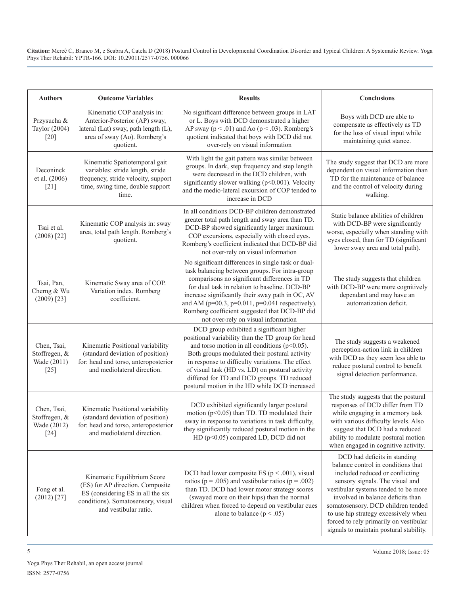| <b>Authors</b>                                        | <b>Outcome Variables</b>                                                                                                                                            | <b>Results</b>                                                                                                                                                                                                                                                                                                                                                                                                | Conclusions                                                                                                                                                                                                                                                                                                                                                                              |
|-------------------------------------------------------|---------------------------------------------------------------------------------------------------------------------------------------------------------------------|---------------------------------------------------------------------------------------------------------------------------------------------------------------------------------------------------------------------------------------------------------------------------------------------------------------------------------------------------------------------------------------------------------------|------------------------------------------------------------------------------------------------------------------------------------------------------------------------------------------------------------------------------------------------------------------------------------------------------------------------------------------------------------------------------------------|
| Przysucha &<br>Taylor (2004)<br>$[20]$                | Kinematic COP analysis in:<br>Anterior-Posterior (AP) sway,<br>lateral (Lat) sway, path length (L),<br>area of sway (Ao). Romberg's<br>quotient.                    | No significant difference between groups in LAT<br>or L. Boys with DCD demonstrated a higher<br>AP sway ( $p < .01$ ) and Ao ( $p < .03$ ). Romberg's<br>quotient indicated that boys with DCD did not<br>over-rely on visual information                                                                                                                                                                     | Boys with DCD are able to<br>compensate as effectively as TD<br>for the loss of visual input while<br>maintaining quiet stance.                                                                                                                                                                                                                                                          |
| Deconinck<br>et al. (2006)<br>$[21]$                  | Kinematic Spatiotemporal gait<br>variables: stride length, stride<br>frequency, stride velocity, support<br>time, swing time, double support<br>time.               | With light the gait pattern was similar between<br>groups. In dark, step frequency and step length<br>were decreased in the DCD children, with<br>significantly slower walking (p<0.001). Velocity<br>and the medio-lateral excursion of COP tended to<br>increase in DCD                                                                                                                                     | The study suggest that DCD are more<br>dependent on visual information than<br>TD for the maintenance of balance<br>and the control of velocity during<br>walking.                                                                                                                                                                                                                       |
| Tsai et al.<br>$(2008)$ <sup>[22]</sup>               | Kinematic COP analysis in: sway<br>area, total path length. Romberg's<br>quotient.                                                                                  | In all conditions DCD-BP children demonstrated<br>greater total path length and sway area than TD.<br>DCD-BP showed significantly larger maximum<br>COP excursions, especially with closed eyes.<br>Romberg's coefficient indicated that DCD-BP did<br>not over-rely on visual information                                                                                                                    | Static balance abilities of children<br>with DCD-BP were significantly<br>worse, especially when standing with<br>eyes closed, than for TD (significant<br>lower sway area and total path).                                                                                                                                                                                              |
| Tsai, Pan,<br>Cherng & Wu<br>$(2009)$ [23]            | Kinematic Sway area of COP.<br>Variation index. Romberg<br>coefficient.                                                                                             | No significant differences in single task or dual-<br>task balancing between groups. For intra-group<br>comparisons no significant differences in TD<br>for dual task in relation to baseline. DCD-BP<br>increase significantly their sway path in OC, AV<br>and AM ( $p=00.3$ , $p=0.011$ , $p=0.041$ respectively).<br>Romberg coefficient suggested that DCD-BP did<br>not over-rely on visual information | The study suggests that children<br>with DCD-BP were more cognitively<br>dependant and may have an<br>automatization deficit.                                                                                                                                                                                                                                                            |
| Chen, Tsai,<br>Stoffregen, &<br>Wade (2011)<br>$[25]$ | Kinematic Positional variability<br>(standard deviation of position)<br>for: head and torso, anteroposterior<br>and mediolateral direction.                         | DCD group exhibited a significant higher<br>positional variability than the TD group for head<br>and torso motion in all conditions $(p<0.05)$ .<br>Both groups modulated their postural activity<br>in response to difficulty variations. The effect<br>of visual task (HD vs. LD) on postural activity<br>differed for TD and DCD groups. TD reduced<br>postural motion in the HD while DCD increased       | The study suggests a weakened<br>perception-action link in children<br>with DCD as they seem less able to<br>reduce postural control to benefit<br>signal detection performance.                                                                                                                                                                                                         |
| Chen, Tsai,<br>Stoffregen, &<br>Wade (2012)<br>$[24]$ | Kinematic Positional variability<br>(standard deviation of position)<br>for: head and torso, anteroposterior<br>and mediolateral direction.                         | DCD exhibited significantly larger postural<br>motion ( $p<0.05$ ) than TD. TD modulated their<br>sway in response to variations in task difficulty,<br>they significantly reduced postural motion in the<br>HD (p<0.05) compared LD, DCD did not                                                                                                                                                             | The study suggests that the postural<br>responses of DCD differ from TD<br>while engaging in a memory task<br>with various difficulty levels. Also<br>suggest that DCD had a reduced<br>ability to modulate postural motion<br>when engaged in cognitive activity.                                                                                                                       |
| Fong et al.<br>$(2012)$ [27]                          | Kinematic Equilibrium Score<br>(ES) for AP direction. Composite<br>ES (considering ES in all the six<br>conditions). Somatosensory, visual<br>and vestibular ratio. | DCD had lower composite ES ( $p < .001$ ), visual<br>ratios ( $p = .005$ ) and vestibular ratios ( $p = .002$ )<br>than TD. DCD had lower motor strategy scores<br>(swayed more on their hips) than the normal<br>children when forced to depend on vestibular cues<br>alone to balance ( $p < .05$ )                                                                                                         | DCD had deficits in standing<br>balance control in conditions that<br>included reduced or conflicting<br>sensory signals. The visual and<br>vestibular systems tended to be more<br>involved in balance deficits than<br>somatosensory. DCD children tended<br>to use hip strategy excessively when<br>forced to rely primarily on vestibular<br>signals to maintain postural stability. |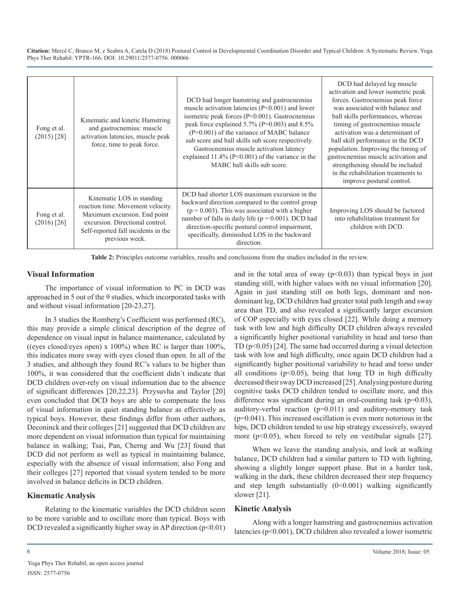| Fong et al.<br>$(2015)$ [28] | Kinematic and kinetic Hamstring<br>and gastrocnemius: muscle<br>activation latencies, muscle peak<br>force, time to peak force.                                                            | DCD had longer hamstring and gastrocnemius<br>muscle activation latencies $(P<0.001)$ and lower<br>isometric peak forces (P<0.001). Gastrocnemius<br>peak force explained $5.7\%$ (P=0.003) and $8.5\%$<br>(P=0.001) of the variance of MABC balance<br>sub score and ball skills sub score respectively.<br>Gastrocnemius muscle activation latency<br>explained $11.4\%$ (P<0.001) of the variance in the<br>MABC ball skills sub score. | DCD had delayed leg muscle<br>activation and lower isometric peak<br>forces. Gastrocnemius peak force<br>was associated with balance and<br>ball skills performances, whereas<br>timing of gastrocnemius muscle<br>activation was a determinant of<br>ball skill performance in the DCD<br>population. Improving the timing of<br>gastrocnemius muscle activation and<br>strengthening should be included<br>in the rehabilitation treatments to<br>improve postural control. |
|------------------------------|--------------------------------------------------------------------------------------------------------------------------------------------------------------------------------------------|--------------------------------------------------------------------------------------------------------------------------------------------------------------------------------------------------------------------------------------------------------------------------------------------------------------------------------------------------------------------------------------------------------------------------------------------|-------------------------------------------------------------------------------------------------------------------------------------------------------------------------------------------------------------------------------------------------------------------------------------------------------------------------------------------------------------------------------------------------------------------------------------------------------------------------------|
| Fong et al.<br>$(2016)$ [26] | Kinematic LOS in standing<br>reaction time. Movement velocity.<br>Maximum excursion. End point<br>excursion. Directional control.<br>Self-reported fall incidents in the<br>previous week. | DCD had shorter LOS maximum excursion in the<br>backward direction compared to the control group<br>$(p = 0.003)$ . This was associated with a higher<br>number of falls in daily life ( $p = 0.001$ ). DCD had<br>direction-specific postural control impairment,<br>specifically, diminished LOS in the backward<br>direction.                                                                                                           | Improving LOS should be factored<br>into rehabilitation treatment for<br>children with DCD.                                                                                                                                                                                                                                                                                                                                                                                   |

**Table 2:** Principles outcome variables, results and conclusions from the studies included in the review.

#### **Visual Information**

The importance of visual information to PC in DCD was approached in 5 out of the 9 studies, which incorporated tasks with and without visual information [20-23,27].

In 3 studies the Romberg's Coefficient was performed (RC), this may provide a simple clinical description of the degree of dependence on visual input in balance maintenance, calculated by ((eyes closed/eyes open) x  $100\%$ ) when RC is larger than  $100\%$ . this indicates more sway with eyes closed than open. In all of the 3 studies, and although they found RC's values to be higher than 100%, it was considered that the coefficient didn´t indicate that DCD children over-rely on visual information due to the absence of significant differences [20,22,23]. Przysuvha and Taylor [20] even concluded that DCD boys are able to compensate the loss of visual information in quiet standing balance as effectively as typical boys. However, these findings differ from other authors, Deconinck and their colleges [21] suggested that DCD children are more dependent on visual information than typical for maintaining balance in walking; Tsai, Pan, Cherng and Wu [23] found that DCD did not perform as well as typical in maintaining balance, especially with the absence of visual information; also Fong and their colleges [27] reported that visual system tended to be more involved in balance deficits in DCD children.

#### **Kinematic Analysis**

Relating to the kinematic variables the DCD children seem to be more variable and to oscillate more than typical. Boys with DCD revealed a significantly higher sway in AP direction  $(p<0.01)$ 

and in the total area of sway  $(p<0.03)$  than typical boys in just standing still, with higher values with no visual information [20]. Again in just standing still on both legs, dominant and nondominant leg, DCD children had greater total path length and sway area than TD, and also revealed a significantly larger excursion of COP especially with eyes closed [22]. While doing a memory task with low and high difficulty DCD children always revealed a significantly higher positional variability in head and torso than TD  $(p<0.05)$  [24]. The same had occurred during a visual detection task with low and high difficulty, once again DCD children had a significantly higher positional variability to head and torso under all conditions  $(p<0.05)$ , being that long TD in high difficulty decreased their sway DCD increased [25]. Analysing posture during cognitive tasks DCD children tended to oscillate more, and this difference was significant during an oral-counting task (p=0.03), auditory-verbal reaction (p=0.011) and auditory-memory task (p=0.041). This increased oscillation is even more notorious in the hips, DCD children tended to use hip strategy excessively, swayed more ( $p<0.05$ ), when forced to rely on vestibular signals [27].

When we leave the standing analysis, and look at walking balance, DCD children had a similar pattern to TD with lighting, showing a slightly longer support phase. But in a harder task, walking in the dark, these children decreased their step frequency and step length substantially  $(0<0.001)$  walking significantly slower [21].

#### **Kinetic Analysis**

Along with a longer hamstring and gastrocnemius activation latencies (p<0.001), DCD children also revealed a lower isometric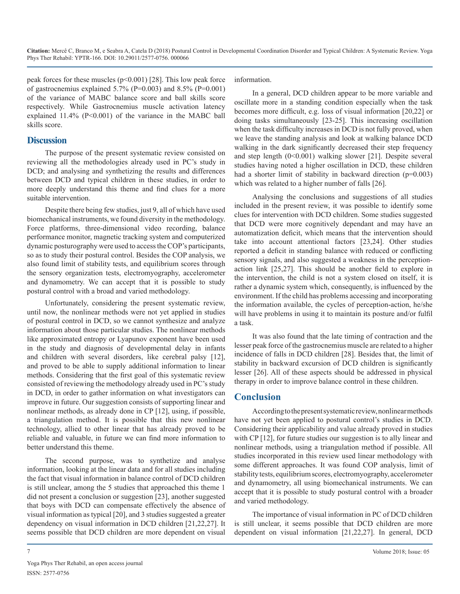peak forces for these muscles (p<0.001) [28]. This low peak force of gastrocnemius explained  $5.7\%$  (P=0.003) and  $8.5\%$  (P=0.001) of the variance of MABC balance score and ball skills score respectively. While Gastrocnemius muscle activation latency explained 11.4% (P<0.001) of the variance in the MABC ball skills score.

#### **Discussion**

The purpose of the present systematic review consisted on reviewing all the methodologies already used in PC's study in DCD; and analysing and synthetizing the results and differences between DCD and typical children in these studies, in order to more deeply understand this theme and find clues for a more suitable intervention.

Despite there being few studies, just 9, all of which have used biomechanical instruments, we found diversity in the methodology. Force platforms, three-dimensional video recording, balance performance monitor, magnetic tracking system and computerized dynamic posturography were used to access the COP's participants, so as to study their postural control. Besides the COP analysis, we also found limit of stability tests, and equilibrium scores through the sensory organization tests, electromyography, accelerometer and dynamometry. We can accept that it is possible to study postural control with a broad and varied methodology.

Unfortunately, considering the present systematic review, until now, the nonlinear methods were not yet applied in studies of postural control in DCD, so we cannot synthesize and analyze information about those particular studies. The nonlinear methods like approximated entropy or Lyapunov exponent have been used in the study and diagnosis of developmental delay in infants and children with several disorders, like cerebral palsy [12], and proved to be able to supply additional information to linear methods. Considering that the first goal of this systematic review consisted of reviewing the methodology already used in PC's study in DCD, in order to gather information on what investigators can improve in future. Our suggestion consists of supporting linear and nonlinear methods, as already done in CP [12], using, if possible, a triangulation method. It is possible that this new nonlinear technology, allied to other linear that has already proved to be reliable and valuable, in future we can find more information to better understand this theme.

The second purpose, was to synthetize and analyse information, looking at the linear data and for all studies including the fact that visual information in balance control of DCD children is still unclear, among the 5 studies that approached this theme 1 did not present a conclusion or suggestion [23], another suggested that boys with DCD can compensate effectively the absence of visual information as typical [20], and 3 studies suggested a greater dependency on visual information in DCD children [21,22,27]. It seems possible that DCD children are more dependent on visual

information.

In a general, DCD children appear to be more variable and oscillate more in a standing condition especially when the task becomes more difficult, e.g. loss of visual information [20,22] or doing tasks simultaneously [23-25]. This increasing oscillation when the task difficulty increases in DCD is not fully proved, when we leave the standing analysis and look at walking balance DCD walking in the dark significantly decreased their step frequency and step length (0<0.001) walking slower [21]. Despite several studies having noted a higher oscillation in DCD, these children had a shorter limit of stability in backward direction (p=0.003) which was related to a higher number of falls [26].

Analysing the conclusions and suggestions of all studies included in the present review, it was possible to identify some clues for intervention with DCD children. Some studies suggested that DCD were more cognitively dependant and may have an automatization deficit, which means that the intervention should take into account attentional factors [23,24]. Other studies reported a deficit in standing balance with reduced or conflicting sensory signals, and also suggested a weakness in the perceptionaction link [25,27]. This should be another field to explore in the intervention, the child is not a system closed on itself, it is rather a dynamic system which, consequently, is influenced by the environment. If the child has problems accessing and incorporating the information available, the cycles of perception-action, he/she will have problems in using it to maintain its posture and/or fulfil a task.

It was also found that the late timing of contraction and the lesser peak force of the gastrocnemius muscle are related to a higher incidence of falls in DCD children [28]. Besides that, the limit of stability in backward excursion of DCD children is significantly lesser [26]. All of these aspects should be addressed in physical therapy in order to improve balance control in these children.

#### **Conclusion**

According to the present systematic review, nonlinear methods have not yet been applied to postural control's studies in DCD. Considering their applicability and value already proved in studies with CP [12], for future studies our suggestion is to ally linear and nonlinear methods, using a triangulation method if possible. All studies incorporated in this review used linear methodology with some different approaches. It was found COP analysis, limit of stability tests, equilibrium scores, electromyography, accelerometer and dynamometry, all using biomechanical instruments. We can accept that it is possible to study postural control with a broader and varied methodology.

The importance of visual information in PC of DCD children is still unclear, it seems possible that DCD children are more dependent on visual information [21,22,27]. In general, DCD